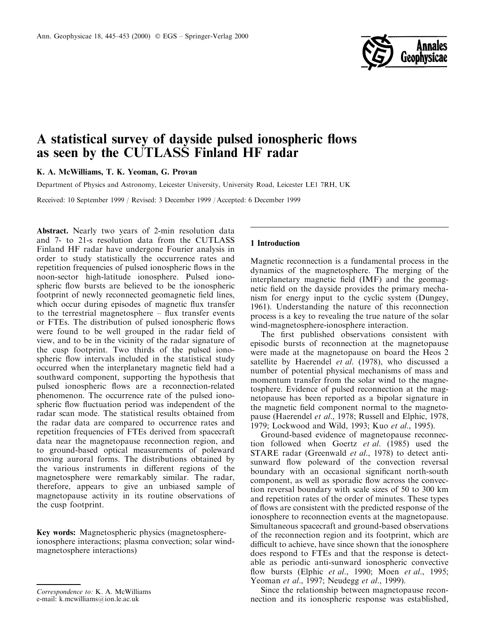

# A statistical survey of dayside pulsed ionospheric flows as seen by the CUTLASS Finland HF radar

K. A. McWilliams, T. K. Yeoman, G. Provan

Department of Physics and Astronomy, Leicester University, University Road, Leicester LE1 7RH, UK

Received: 10 September 1999 / Revised: 3 December 1999 / Accepted: 6 December 1999

Abstract. Nearly two years of 2-min resolution data and 7- to 21-s resolution data from the CUTLASS Finland HF radar have undergone Fourier analysis in order to study statistically the occurrence rates and repetition frequencies of pulsed ionospheric flows in the noon-sector high-latitude ionosphere. Pulsed ionospheric flow bursts are believed to be the ionospheric footprint of newly reconnected geomagnetic field lines, which occur during episodes of magnetic flux transfer to the terrestrial magnetosphere  $-$  flux transfer events or FTEs. The distribution of pulsed ionospheric flows were found to be well grouped in the radar field of view, and to be in the vicinity of the radar signature of the cusp footprint. Two thirds of the pulsed ionospheric flow intervals included in the statistical study occurred when the interplanetary magnetic field had a southward component, supporting the hypothesis that pulsed ionospheric flows are a reconnection-related phenomenon. The occurrence rate of the pulsed ionospheric flow fluctuation period was independent of the radar scan mode. The statistical results obtained from the radar data are compared to occurrence rates and repetition frequencies of FTEs derived from spacecraft data near the magnetopause reconnection region, and to ground-based optical measurements of poleward moving auroral forms. The distributions obtained by the various instruments in different regions of the magnetosphere were remarkably similar. The radar, therefore, appears to give an unbiased sample of magnetopause activity in its routine observations of the cusp footprint.

Key words: Magnetospheric physics (magnetosphereionosphere interactions; plasma convection; solar windmagnetosphere interactions)

# 1 Introduction

Magnetic reconnection is a fundamental process in the dynamics of the magnetosphere. The merging of the interplanetary magnetic field (IMF) and the geomagnetic field on the dayside provides the primary mechanism for energy input to the cyclic system (Dungey, 1961). Understanding the nature of this reconnection process is a key to revealing the true nature of the solar wind-magnetosphere-ionosphere interaction.

The first published observations consistent with episodic bursts of reconnection at the magnetopause were made at the magnetopause on board the Heos 2 satellite by Haerendel *et al.* (1978), who discussed a number of potential physical mechanisms of mass and momentum transfer from the solar wind to the magnetosphere. Evidence of pulsed reconnection at the magnetopause has been reported as a bipolar signature in the magnetic field component normal to the magnetopause (Haerendel et al., 1978; Russell and Elphic, 1978, 1979; Lockwood and Wild, 1993; Kuo et al., 1995).

Ground-based evidence of magnetopause reconnection followed when Goertz et al. (1985) used the STARE radar (Greenwald et al., 1978) to detect antisunward flow poleward of the convection reversal boundary with an occasional significant north-south component, as well as sporadic flow across the convection reversal boundary with scale sizes of 50 to 300 km and repetition rates of the order of minutes. These types of flows are consistent with the predicted response of the ionosphere to reconnection events at the magnetopause. Simultaneous spacecraft and ground-based observations of the reconnection region and its footprint, which are difficult to achieve, have since shown that the ionosphere does respond to FTEs and that the response is detectable as periodic anti-sunward ionospheric convective flow bursts (Elphic et al., 1990; Moen et al., 1995; Yeoman et al., 1997; Neudegg et al., 1999).

Since the relationship between magnetopause reconnection and its ionospheric response was established,

Correspondence to: K. A. McWilliams

e-mail: k.mcwilliams@ion.le.ac.uk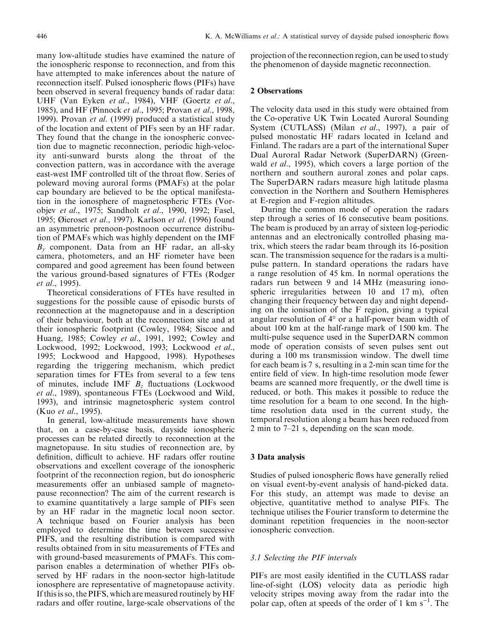many low-altitude studies have examined the nature of the ionospheric response to reconnection, and from this have attempted to make inferences about the nature of reconnection itself. Pulsed ionospheric flows (PIFs) have been observed in several frequency bands of radar data: UHF (Van Eyken et al., 1984), VHF (Goertz et al., 1985), and HF (Pinnock et al., 1995; Provan et al., 1998, 1999). Provan et al. (1999) produced a statistical study of the location and extent of PIFs seen by an HF radar. They found that the change in the ionospheric convection due to magnetic reconnection, periodic high-velocity anti-sunward bursts along the throat of the convection pattern, was in accordance with the average east-west IMF controlled tilt of the throat flow. Series of poleward moving auroral forms (PMAFs) at the polar cap boundary are believed to be the optical manifestation in the ionosphere of magnetospheric FTEs (Vorobjev et al., 1975; Sandholt et al., 1990, 1992; Fasel, 1995; Øieroset et al., 1997). Karlson et al. (1996) found an asymmetric prenoon-postnoon occurrence distribution of PMAFs which was highly dependent on the IMF  $B<sub>v</sub>$  component. Data from an HF radar, an all-sky camera, photometers, and an HF riometer have been compared and good agreement has been found between the various ground-based signatures of FTEs (Rodger et al., 1995).

Theoretical considerations of FTEs have resulted in suggestions for the possible cause of episodic bursts of reconnection at the magnetopause and in a description of their behaviour, both at the reconnection site and at their ionospheric footprint (Cowley, 1984; Siscoe and Huang, 1985; Cowley et al., 1991, 1992; Cowley and Lockwood, 1992; Lockwood, 1993; Lockwood et al., 1995; Lockwood and Hapgood, 1998). Hypotheses regarding the triggering mechanism, which predict separation times for FTEs from several to a few tens of minutes, include IMF  $B_z$  fluctuations (Lockwood et al., 1989), spontaneous FTEs (Lockwood and Wild, 1993), and intrinsic magnetospheric system control (Kuo et al., 1995).

In general, low-altitude measurements have shown that, on a case-by-case basis, dayside ionospheric processes can be related directly to reconnection at the magnetopause. In situ studies of reconnection are, by definition, difficult to achieve. HF radars offer routine observations and excellent coverage of the ionospheric footprint of the reconnection region, but do ionospheric measurements offer an unbiased sample of magnetopause reconnection? The aim of the current research is to examine quantitatively a large sample of PIFs seen by an HF radar in the magnetic local noon sector. A technique based on Fourier analysis has been employed to determine the time between successive PIFS, and the resulting distribution is compared with results obtained from in situ measurements of FTEs and with ground-based measurements of PMAFs. This comparison enables a determination of whether PIFs observed by HF radars in the noon-sector high-latitude ionosphere are representative of magnetopause activity. If this is so, the PIFS, which are measured routinely by HF radars and offer routine, large-scale observations of the

projection of the reconnection region, can be used to study the phenomenon of dayside magnetic reconnection.

# 2 Observations

The velocity data used in this study were obtained from the Co-operative UK Twin Located Auroral Sounding System (CUTLASS) (Milan et al., 1997), a pair of pulsed monostatic HF radars located in Iceland and Finland. The radars are a part of the international Super Dual Auroral Radar Network (SuperDARN) (Greenwald *et al.*, 1995), which covers a large portion of the northern and southern auroral zones and polar caps. The SuperDARN radars measure high latitude plasma convection in the Northern and Southern Hemispheres at E-region and F-region altitudes.

During the common mode of operation the radars step through a series of 16 consecutive beam positions. The beam is produced by an array of sixteen log-periodic antennas and an electronically controlled phasing matrix, which steers the radar beam through its 16-position scan. The transmission sequence for the radars is a multipulse pattern. In standard operations the radars have a range resolution of 45 km. In normal operations the radars run between 9 and 14 MHz (measuring ionospheric irregularities between 10 and 17 m), often changing their frequency between day and night depending on the ionisation of the F region, giving a typical angular resolution of 4° or a half-power beam width of about 100 km at the half-range mark of 1500 km. The multi-pulse sequence used in the SuperDARN common mode of operation consists of seven pulses sent out during a 100 ms transmission window. The dwell time for each beam is 7 s, resulting in a 2-min scan time for the entire field of view. In high-time resolution mode fewer beams are scanned more frequently, or the dwell time is reduced, or both. This makes it possible to reduce the time resolution for a beam to one second. In the hightime resolution data used in the current study, the temporal resolution along a beam has been reduced from 2 min to  $7-21$  s, depending on the scan mode.

# 3 Data analysis

Studies of pulsed ionospheric flows have generally relied on visual event-by-event analysis of hand-picked data. For this study, an attempt was made to devise an objective, quantitative method to analyse PIFs. The technique utilises the Fourier transform to determine the dominant repetition frequencies in the noon-sector ionospheric convection.

## 3.1 Selecting the PIF intervals

PIFs are most easily identified in the CUTLASS radar line-of-sight (LOS) velocity data as periodic high velocity stripes moving away from the radar into the polar cap, often at speeds of the order of 1 km  $s^{-1}$ . The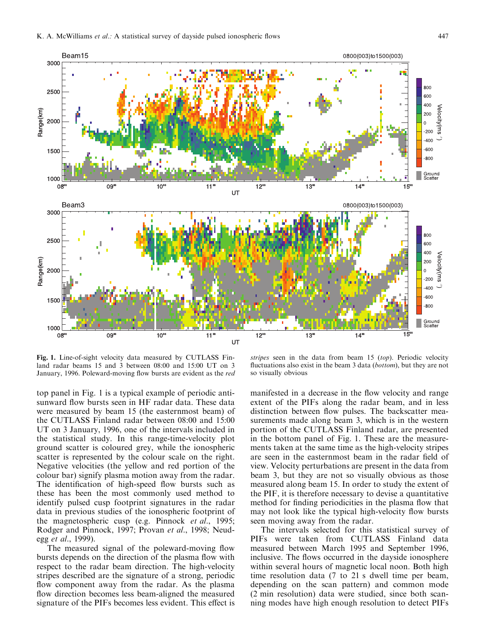

Fig. 1. Line-of-sight velocity data measured by CUTLASS Finland radar beams 15 and 3 between 08:00 and 15:00 UT on 3 January, 1996. Poleward-moving flow bursts are evident as the red

top panel in Fig. 1 is a typical example of periodic antisunward flow bursts seen in HF radar data. These data were measured by beam 15 (the easternmost beam) of the CUTLASS Finland radar between 08:00 and 15:00 UT on 3 January, 1996, one of the intervals included in the statistical study. In this range-time-velocity plot ground scatter is coloured grey, while the ionospheric scatter is represented by the colour scale on the right. Negative velocities (the yellow and red portion of the colour bar) signify plasma motion away from the radar. The identification of high-speed flow bursts such as these has been the most commonly used method to identify pulsed cusp footprint signatures in the radar data in previous studies of the ionospheric footprint of the magnetospheric cusp (e.g. Pinnock et al., 1995; Rodger and Pinnock, 1997; Provan et al., 1998; Neudegg et al., 1999).

The measured signal of the poleward-moving flow bursts depends on the direction of the plasma flow with respect to the radar beam direction. The high-velocity stripes described are the signature of a strong, periodic flow component away from the radar. As the plasma flow direction becomes less beam-aligned the measured signature of the PIFs becomes less evident. This effect is

stripes seen in the data from beam  $15$  (top). Periodic velocity fluctuations also exist in the beam  $3$  data (bottom), but they are not so visually obvious

manifested in a decrease in the flow velocity and range extent of the PIFs along the radar beam, and in less distinction between flow pulses. The backscatter measurements made along beam 3, which is in the western portion of the CUTLASS Finland radar, are presented in the bottom panel of Fig. 1. These are the measurements taken at the same time as the high-velocity stripes are seen in the easternmost beam in the radar field of view. Velocity perturbations are present in the data from beam 3, but they are not so visually obvious as those measured along beam 15. In order to study the extent of the PIF, it is therefore necessary to devise a quantitative method for finding periodicities in the plasma flow that may not look like the typical high-velocity flow bursts seen moving away from the radar.

The intervals selected for this statistical survey of PIFs were taken from CUTLASS Finland data measured between March 1995 and September 1996, inclusive. The flows occurred in the dayside ionosphere within several hours of magnetic local noon. Both high time resolution data (7 to 21 s dwell time per beam, depending on the scan pattern) and common mode (2 min resolution) data were studied, since both scanning modes have high enough resolution to detect PIFs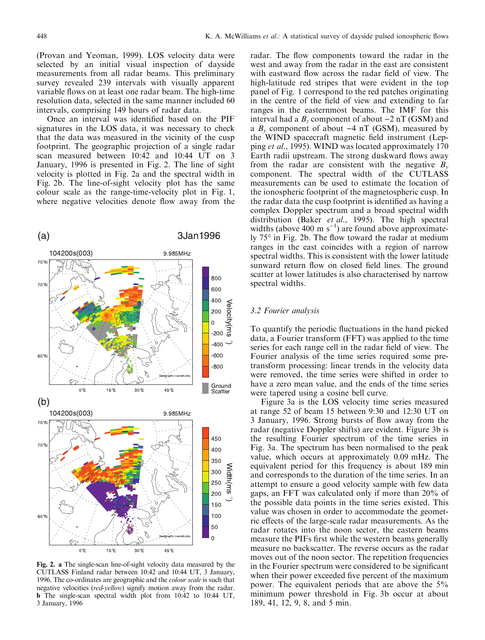(Provan and Yeoman, 1999). LOS velocity data were selected by an initial visual inspection of dayside measurements from all radar beams. This preliminary survey revealed 239 intervals with visually apparent variable flows on at least one radar beam. The high-time resolution data, selected in the same manner included 60 intervals, comprising 149 hours of radar data.

Once an interval was identified based on the PIF signatures in the LOS data, it was necessary to check that the data was measured in the vicinity of the cusp footprint. The geographic projection of a single radar scan measured between 10:42 and 10:44 UT on 3 January, 1996 is presented in Fig. 2. The line of sight velocity is plotted in Fig. 2a and the spectral width in Fig. 2b. The line-of-sight velocity plot has the same colour scale as the range-time-velocity plot in Fig. 1, where negative velocities denote flow away from the



Fig. 2. a The single-scan line-of-sight velocity data measured by the CUTLASS Finland radar between 10:42 and 10:44 UT, 3 January, 1996. The co-ordinates are geographic and the colour scale is such that negative velocities (red-yellow) signify motion away from the radar. b The single-scan spectral width plot from 10:42 to 10:44 UT, 3 January, 1996

radar. The flow components toward the radar in the west and away from the radar in the east are consistent with eastward flow across the radar field of view. The high-latitude red stripes that were evident in the top panel of Fig. 1 correspond to the red patches originating in the centre of the field of view and extending to far ranges in the easternmost beams. The IMF for this interval had a  $B_z$  component of about  $-2$  nT (GSM) and a  $B_y$  component of about  $-4$  nT (GSM), measured by the WIND spacecraft magnetic field instrument (Lepping et al., 1995). WIND was located approximately 170 Earth radii upstream. The strong duskward flows away from the radar are consistent with the negative  $B_v$ component. The spectral width of the CUTLASS measurements can be used to estimate the location of the ionospheric footprint of the magnetospheric cusp. In the radar data the cusp footprint is identified as having a complex Doppler spectrum and a broad spectral width distribution (Baker et al., 1995). The high spectral widths (above 400 m  $s^{-1}$ ) are found above approximately 75° in Fig. 2b. The flow toward the radar at medium ranges in the east coincides with a region of narrow spectral widths. This is consistent with the lower latitude sunward return flow on closed field lines. The ground scatter at lower latitudes is also characterised by narrow spectral widths.

#### 3.2 Fourier analysis

To quantify the periodic fluctuations in the hand picked data, a Fourier transform (FFT) was applied to the time series for each range cell in the radar field of view. The Fourier analysis of the time series required some pretransform processing: linear trends in the velocity data were removed, the time series were shifted in order to have a zero mean value, and the ends of the time series were tapered using a cosine bell curve.

Figure 3a is the LOS velocity time series measured at range 52 of beam 15 between 9:30 and 12:30 UT on 3 January, 1996. Strong bursts of flow away from the radar (negative Doppler shifts) are evident. Figure 3b is the resulting Fourier spectrum of the time series in Fig. 3a. The spectrum has been normalised to the peak value, which occurs at approximately 0.09 mHz. The equivalent period for this frequency is about 189 min and corresponds to the duration of the time series. In an attempt to ensure a good velocity sample with few data gaps, an FFT was calculated only if more than 20% of the possible data points in the time series existed. This value was chosen in order to accommodate the geometric effects of the large-scale radar measurements. As the radar rotates into the noon sector, the eastern beams measure the PIFs first while the western beams generally measure no backscatter. The reverse occurs as the radar moves out of the noon sector. The repetition frequencies in the Fourier spectrum were considered to be significant when their power exceeded five percent of the maximum power. The equivalent periods that are above the 5% minimum power threshold in Fig. 3b occur at about 189, 41, 12, 9, 8, and 5 min.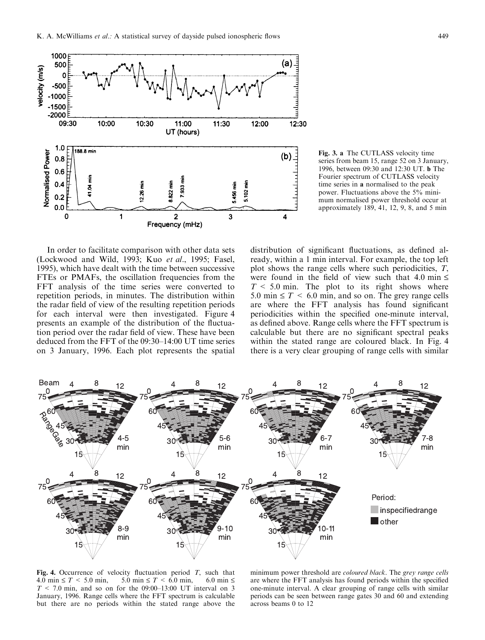

Fig. 3. a The CUTLASS velocity time series from beam 15, range 52 on 3 January, 1996, between 09:30 and 12:30 UT. b The Fourier spectrum of CUTLASS velocity time series in a normalised to the peak power. Fluctuations above the 5% minimum normalised power threshold occur at approximately 189, 41, 12, 9, 8, and 5 min

In order to facilitate comparison with other data sets (Lockwood and Wild, 1993; Kuo et al., 1995; Fasel, 1995), which have dealt with the time between successive FTEs or PMAFs, the oscillation frequencies from the FFT analysis of the time series were converted to repetition periods, in minutes. The distribution within the radar field of view of the resulting repetition periods for each interval were then investigated. Figure 4 presents an example of the distribution of the fluctuation period over the radar field of view. These have been deduced from the FFT of the  $09:30-14:00$  UT time series on 3 January, 1996. Each plot represents the spatial

distribution of significant fluctuations, as defined already, within a 1 min interval. For example, the top left plot shows the range cells where such periodicities, T, were found in the field of view such that 4.0 min  $\leq$  $T < 5.0$  min. The plot to its right shows where 5.0 min  $\leq T < 6.0$  min, and so on. The grey range cells are where the FFT analysis has found significant periodicities within the specified one-minute interval, as defined above. Range cells where the FFT spectrum is calculable but there are no significant spectral peaks within the stated range are coloured black. In Fig. 4 there is a very clear grouping of range cells with similar



Fig. 4. Occurrence of velocity fluctuation period T, such that  $4.0 \text{ min} \le T \le 5.0 \text{ min}$ ,  $5.0 \text{ min} \le T \le 6.0 \text{ min}$ ,  $6.0 \text{ min} \le T$  $4.0 \text{ min} \leq T \leq 5.0 \text{ min}$ ,  $T < 7.0$  min, and so on for the 09:00-13:00 UT interval on 3 January, 1996. Range cells where the FFT spectrum is calculable but there are no periods within the stated range above the

minimum power threshold are coloured black. The grey range cells are where the FFT analysis has found periods within the specified one-minute interval. A clear grouping of range cells with similar periods can be seen between range gates 30 and 60 and extending across beams 0 to 12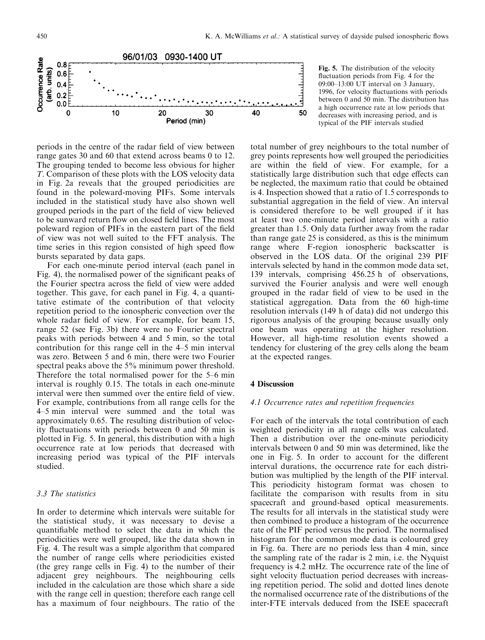

Fig. 5. The distribution of the velocity fluctuation periods from Fig. 4 for the 09:00±13:00 UT interval on 3 January, 1996, for velocity fluctuations with periods between 0 and 50 min. The distribution has a high occurrence rate at low periods that decreases with increasing period, and is typical of the PIF intervals studied

periods in the centre of the radar field of view between range gates 30 and 60 that extend across beams 0 to 12. The grouping tended to become less obvious for higher T. Comparison of these plots with the LOS velocity data in Fig. 2a reveals that the grouped periodicities are found in the poleward-moving PIFs. Some intervals included in the statistical study have also shown well grouped periods in the part of the field of view believed to be sunward return flow on closed field lines. The most poleward region of PIFs in the eastern part of the field of view was not well suited to the FFT analysis. The time series in this region consisted of high speed flow bursts separated by data gaps.

For each one-minute period interval (each panel in Fig. 4), the normalised power of the significant peaks of the Fourier spectra across the field of view were added together. This gave, for each panel in Fig. 4, a quantitative estimate of the contribution of that velocity repetition period to the ionospheric convection over the whole radar field of view. For example, for beam 15, range 52 (see Fig. 3b) there were no Fourier spectral peaks with periods between 4 and 5 min, so the total contribution for this range cell in the  $4-5$  min interval was zero. Between 5 and 6 min, there were two Fourier spectral peaks above the 5% minimum power threshold. Therefore the total normalised power for the  $5-6$  min interval is roughly 0.15. The totals in each one-minute interval were then summed over the entire field of view. For example, contributions from all range cells for the 4±5 min interval were summed and the total was approximately 0.65. The resulting distribution of velocity fluctuations with periods between  $0$  and  $50$  min is plotted in Fig. 5. In general, this distribution with a high occurrence rate at low periods that decreased with increasing period was typical of the PIF intervals studied.

# 3.3 The statistics

In order to determine which intervals were suitable for the statistical study, it was necessary to devise a quantifiable method to select the data in which the periodicities were well grouped, like the data shown in Fig. 4. The result was a simple algorithm that compared the number of range cells where periodicities existed (the grey range cells in Fig. 4) to the number of their adjacent grey neighbours. The neighbouring cells included in the calculation are those which share a side with the range cell in question; therefore each range cell has a maximum of four neighbours. The ratio of the

total number of grey neighbours to the total number of grey points represents how well grouped the periodicities are within the field of view. For example, for a statistically large distribution such that edge effects can be neglected, the maximum ratio that could be obtained is 4. Inspection showed that a ratio of 1.5 corresponds to substantial aggregation in the field of view. An interval is considered therefore to be well grouped if it has at least two one-minute period intervals with a ratio greater than 1.5. Only data further away from the radar than range gate 25 is considered, as this is the minimum range where F-region ionospheric backscatter is observed in the LOS data. Of the original 239 PIF intervals selected by hand in the common mode data set, 139 intervals, comprising 456.25 h of observations, survived the Fourier analysis and were well enough grouped in the radar field of view to be used in the statistical aggregation. Data from the 60 high-time resolution intervals (149 h of data) did not undergo this rigorous analysis of the grouping because usually only one beam was operating at the higher resolution. However, all high-time resolution events showed a tendency for clustering of the grey cells along the beam at the expected ranges.

# 4 Discussion

#### 4.1 Occurrence rates and repetition frequencies

For each of the intervals the total contribution of each weighted periodicity in all range cells was calculated. Then a distribution over the one-minute periodicity intervals between 0 and 50 min was determined, like the one in Fig. 5. In order to account for the different interval durations, the occurrence rate for each distribution was multiplied by the length of the PIF interval. This periodicity histogram format was chosen to facilitate the comparison with results from in situ spacecraft and ground-based optical measurements. The results for all intervals in the statistical study were then combined to produce a histogram of the occurrence rate of the PIF period versus the period. The normalised histogram for the common mode data is coloured grey in Fig. 6a. There are no periods less than 4 min, since the sampling rate of the radar is 2 min, i.e. the Nyquist frequency is 4.2 mHz. The occurrence rate of the line of sight velocity fluctuation period decreases with increasing repetition period. The solid and dotted lines denote the normalised occurrence rate of the distributions of the inter-FTE intervals deduced from the ISEE spacecraft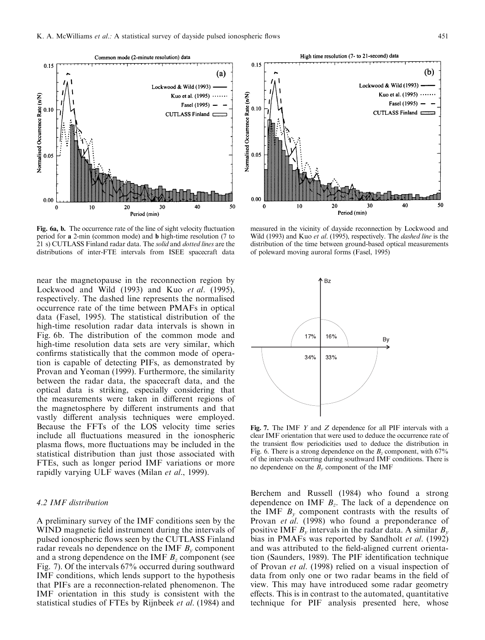

Fig. 6a, b. The occurrence rate of the line of sight velocity fluctuation period for a 2-min (common mode) and b high-time resolution (7 to 21 s) CUTLASS Finland radar data. The solid and dotted lines are the distributions of inter-FTE intervals from ISEE spacecraft data

near the magnetopause in the reconnection region by Lockwood and Wild (1993) and Kuo et al. (1995), respectively. The dashed line represents the normalised occurrence rate of the time between PMAFs in optical data (Fasel, 1995). The statistical distribution of the high-time resolution radar data intervals is shown in Fig. 6b. The distribution of the common mode and high-time resolution data sets are very similar, which confirms statistically that the common mode of operation is capable of detecting PIFs, as demonstrated by Provan and Yeoman (1999). Furthermore, the similarity between the radar data, the spacecraft data, and the optical data is striking, especially considering that the measurements were taken in different regions of the magnetosphere by different instruments and that vastly different analysis techniques were employed. Because the FFTs of the LOS velocity time series include all fluctuations measured in the ionospheric plasma flows, more fluctuations may be included in the statistical distribution than just those associated with FTEs, such as longer period IMF variations or more rapidly varying ULF waves (Milan et al., 1999).

## 4.2 IMF distribution

A preliminary survey of the IMF conditions seen by the WIND magnetic field instrument during the intervals of pulsed ionospheric flows seen by the CUTLASS Finland radar reveals no dependence on the IMF  $B<sub>v</sub>$  component and a strong dependence on the IMF  $B<sub>z</sub>$  component (see Fig. 7). Of the intervals 67% occurred during southward IMF conditions, which lends support to the hypothesis that PIFs are a reconnection-related phenomenon. The IMF orientation in this study is consistent with the statistical studies of FTEs by Rijnbeek et al. (1984) and



measured in the vicinity of dayside reconnection by Lockwood and Wild (1993) and Kuo et al. (1995), respectively. The dashed line is the distribution of the time between ground-based optical measurements of poleward moving auroral forms (Fasel, 1995)



Fig. 7. The IMF  $Y$  and  $Z$  dependence for all PIF intervals with a clear IMF orientation that were used to deduce the occurrence rate of the transient flow periodicities used to deduce the distribution in Fig. 6. There is a strong dependence on the  $B<sub>z</sub>$  component, with 67% of the intervals occurring during southward IMF conditions. There is no dependence on the  $B<sub>v</sub>$  component of the IMF

Berchem and Russell (1984) who found a strong dependence on IMF  $B_z$ . The lack of a dependence on the IMF  $B<sub>v</sub>$  component contrasts with the results of Provan et al. (1998) who found a preponderance of positive IMF  $B_v$  intervals in the radar data. A similar  $B_v$ bias in PMAFs was reported by Sandholt et al. (1992) and was attributed to the field-aligned current orientation (Saunders, 1989). The PIF identification technique of Provan et al. (1998) relied on a visual inspection of data from only one or two radar beams in the field of view. This may have introduced some radar geometry effects. This is in contrast to the automated, quantitative technique for PIF analysis presented here, whose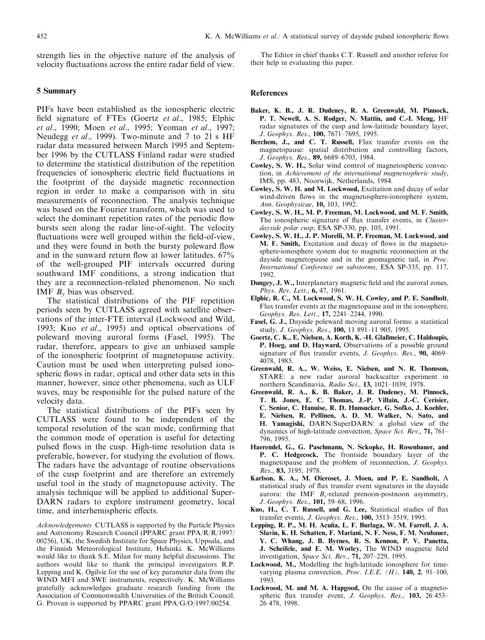strength lies in the objective nature of the analysis of velocity fluctuations across the entire radar field of view.

# 5 Summary

PIFs have been established as the ionospheric electric field signature of FTEs (Goertz et al., 1985; Elphic et al., 1990; Moen et al., 1995; Yeoman et al., 1997; Neudegg et al., 1999). Two-minute and 7 to 21 s HF radar data measured between March 1995 and September 1996 by the CUTLASS Finland radar were studied to determine the statistical distribution of the repetition frequencies of ionospheric electric field fluctuations in the footprint of the dayside magnetic reconnection region in order to make a comparison with in situ measurements of reconnection. The analysis technique was based on the Fourier transform, which was used to select the dominant repetition rates of the periodic flow bursts seen along the radar line-of-sight. The velocity fluctuations were well grouped within the field-of-view, and they were found in both the bursty poleward flow and in the sunward return flow at lower latitudes.  $67\%$ of the well-grouped PIF intervals occurred during southward IMF conditions, a strong indication that they are a reconnection-related phenomenon. No such IMF  $B<sub>v</sub>$  bias was observed.

The statistical distributions of the PIF repetition periods seen by CUTLASS agreed with satellite observations of the inter-FTE interval (Lockwood and Wild, 1993; Kuo et al., 1995) and optical observations of poleward moving auroral forms (Fasel, 1995). The radar, therefore, appears to give an unbiased sample of the ionospheric footprint of magnetopause activity. Caution must be used when interpreting pulsed ionospheric flows in radar, optical and other data sets in this manner, however, since other phenomena, such as ULF waves, may be responsible for the pulsed nature of the velocity data.

The statistical distributions of the PIFs seen by CUTLASS were found to be independent of the temporal resolution of the scan mode, confirming that the common mode of operation is useful for detecting pulsed flows in the cusp. High-time resolution data is preferable, however, for studying the evolution of flows. The radars have the advantage of routine observations of the cusp footprint and are therefore an extremely useful tool in the study of magnetopause activity. The analysis technique will be applied to additional Super-DARN radars to explore instrument geometry, local time, and interhemispheric effects.

Acknowledgements CUTLASS is supported by the Particle Physics and Astronomy Research Council (PPARC grant PPA/R/R/1997/ 00256), UK, the Swedish Institute for Space Physics, Uppsala, and the Finnish Meteorological Institute, Helsinki. K. McWilliams would like to thank S.E. Milan for many helpful discussions. The authors would like to thank the principal investigators R.P. Lepping and K. Ogilvie for the use of key parameter data from the WIND MFI and SWE instruments, respectively. K. McWilliams gratefully acknowledges graduate research funding from the Association of Commonwealth Universities of the British Council. G. Provan is supported by PPARC grant PPA/G/O/1997/00254.

The Editor in chief thanks C.T. Russell and another referee for their help in evaluating this paper.

#### References

- Baker, K. B., J. R. Dudeney, R. A. Greenwald, M. Pinnock, P. T. Newell, A. S. Rodger, N. Mattin, and C.-I. Meng, HF radar signatures of the cusp and low-latitude boundary layer, J. Geophys. Res., 100, 7671-7695, 1995.
- Berchem, J., and C. T. Russell, Flux transfer events on the magnetopause: spatial distribution and controlling factors, J. Geophys. Res., 89, 6689-6703, 1984.
- Cowley, S. W. H., Solar wind control of magnetospheric convection, in Achievement of the international magnetospheric study, IMS, pp. 483, Noorwijk, Netherlands, 1984.
- Cowley, S. W. H. and M. Lockwood, Excitation and decay of solar wind-driven flows in the magnetosphere-ionosphere system, Ann. Geophysicae, 10, 103, 1992.
- Cowley, S. W. H., M. P. Freeman, M. Lockwood, and M. F. Smith, The ionospheric signature of flux transfer events, in *Cluster*dayside polar cusp, ESA SP-330, pp. 105, 1991.
- Cowley, S. W. H., J. P. Morelli, M. P. Freeman, M. Lockwood, and M. F. Smith, Excitation and decay of flows in the magnetosphere-ionosphere system due to magnetic reconnection at the dayside magnetopause and in the geomagnetic tail, in *Proc.* International Conference on substorms, ESA SP-335, pp. 117, 1992.
- Dungey, J. W., Interplanetary magnetic field and the auroral zones, Phys. Rev. Lett., **6,** 47, 1961.
- Elphic, R. C., M. Lockwood, S. W. H. Cowley, and P. E. Sandholt, Flux transfer events at the magnetopause and in the ionosphere, Geophys. Res. Lett., 17, 2241-2244, 1990.
- Fasel, G. J., Dayside poleward moving auroral forms: a statistical study, J. Geophys. Res., 100, 11 891-11 905, 1995.
- Goertz, C. K., E. Nielsen, A. Korth, K. -H. Glaûmeier, C. Haldoupis, P. Hoeg, and D. Hayward, Observations of a possible ground signature of flux transfer events, *J. Geophys. Res.*, **90,** 4069– 4078, 1985.
- Greenwald, R. A., W. Weiss, E. Nielsen, and N. R. Thomson, STARE: a new radar auroral backscatter experiment in northern Scandinavia, Radio Sci., 13, 1021-1039, 1978.
- Greenwald, R. A., K. B. Baker, J. R. Dudeney, M. Pinnock, T. B. Jones, E. C. Thomas, J.-P. Villain, J.-C. Cerisier, C. Senior, C. Hanuise, R. D. Hunsucker, G. Sofko, J. Koehler, E. Nielsen, R. Pellinen, A. D. M. Walker, N. Sato, and H. Yamagishi, DARN/SuperDARN: a global view of the dynamics of high-latitude convection, Space Sci. Rev., 71, 761-796, 1995.
- Haerendel, G., G. Paschmann, N. Sckopke, H. Rosenbauer, and P. C. Hedgecock, The frontside boundary layer of the magnetopause and the problem of reconnection, J. Geophys. Res., 83, 3195, 1978.
- Karlson, K. A., M. Øieroset, J. Moen, and P. E. Sandholt, A. statistical study of flux transfer event signatures in the dayside aurora: the IMF  $B_v$ -related prenoon-postnoon asymmetry, J. Geophys. Res., 101, 59-68, 1996.
- Kuo, H., C. T. Russell, and G. Lee, Statistical studies of flux transfer events, *J. Geophys. Res.*, 100, 3513-3519, 1995.
- Lepping, R. P., M. H. Acuña, L. F. Burlaga, W. M. Farrell, J. A. Slavin, K. H. Schatten, F. Mariani, N. F. Ness, F. M. Neubauer, Y. C. Whang, J. B. Byrnes, R. S. Kennon, P. V. Panetta, J. Scheifele, and E. M. Worley, The WIND magnetic field investigation, Space Sci. Rev., 71, 207-229, 1995.
- Lockwood, M., Modelling the high-latitude ionosphere for timevarying plasma convection, Proc. I.E.E.  $(H)$ , 140, 2, 91-100, 1993.
- Lockwood, M. and M. A. Hapgood, On the cause of a magnetospheric flux transfer event, J. Geophys. Res.,  $103$ ,  $26453-$ 26 478, 1998.